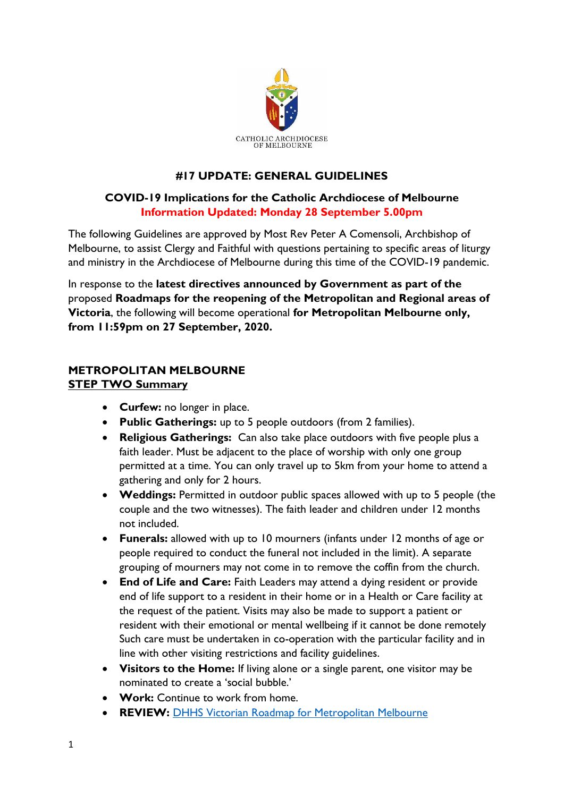

# **#17 UPDATE: GENERAL GUIDELINES**

# **COVID-19 Implications for the Catholic Archdiocese of Melbourne Information Updated: Monday 28 September 5.00pm**

The following Guidelines are approved by Most Rev Peter A Comensoli, Archbishop of Melbourne, to assist Clergy and Faithful with questions pertaining to specific areas of liturgy and ministry in the Archdiocese of Melbourne during this time of the COVID-19 pandemic.

In response to the **latest directives announced by Government as part of the**  proposed **Roadmaps for the reopening of the Metropolitan and Regional areas of Victoria**, the following will become operational **for Metropolitan Melbourne only, from 11:59pm on 27 September, 2020.**

## **METROPOLITAN MELBOURNE STEP TWO Summary**

- **Curfew:** no longer in place.
- **Public Gatherings:** up to 5 people outdoors (from 2 families).
- **Religious Gatherings:** Can also take place outdoors with five people plus a faith leader. Must be adjacent to the place of worship with only one group permitted at a time. You can only travel up to 5km from your home to attend a gathering and only for 2 hours.
- **Weddings:** Permitted in outdoor public spaces allowed with up to 5 people (the couple and the two witnesses). The faith leader and children under 12 months not included.
- **Funerals:** allowed with up to 10 mourners (infants under 12 months of age or people required to conduct the funeral not included in the limit). A separate grouping of mourners may not come in to remove the coffin from the church.
- **End of Life and Care:** Faith Leaders may attend a dying resident or provide end of life support to a resident in their home or in a Health or Care facility at the request of the patient. Visits may also be made to support a patient or resident with their emotional or mental wellbeing if it cannot be done remotely Such care must be undertaken in co-operation with the particular facility and in line with other visiting restrictions and facility guidelines.
- **Visitors to the Home:** If living alone or a single parent, one visitor may be nominated to create a 'social bubble.'
- **Work:** Continue to work from home.
- **REVIEW:** [DHHS Victorian Roadmap for Metropolitan Melbourne](https://www.dhhs.vic.gov.au/second-step-restrictions-summary-metropolitan-melbourne-covid-19)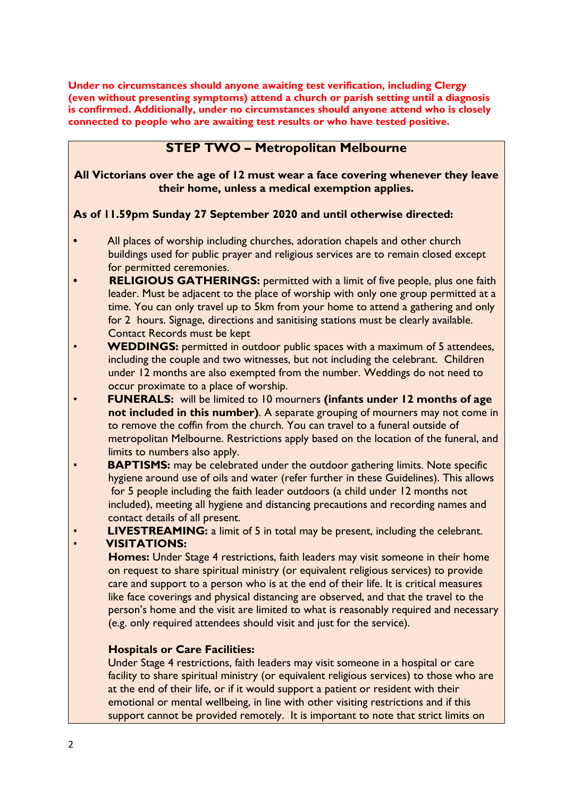**Under no circumstances should anyone awaiting test verification, including Clergy (even without presenting symptoms) attend a church or parish setting until a diagnosis is confirmed. Additionally, under no circumstances should anyone attend who is closely connected to people who are awaiting test results or who have tested positive.**

# **STEP TWO – Metropolitan Melbourne**

**All Victorians over the age of 12 must wear a face covering whenever they leave their home, unless a medical exemption applies.**

#### **As of 11.59pm Sunday 27 September 2020 and until otherwise directed:**

- **•** All places of worship including churches, adoration chapels and other church buildings used for public prayer and religious services are to remain closed except for permitted ceremonies.
- **• RELIGIOUS GATHERINGS:** permitted with a limit of five people, plus one faith leader. Must be adjacent to the place of worship with only one group permitted at a time. You can only travel up to 5km from your home to attend a gathering and only for 2 hours. Signage, directions and sanitising stations must be clearly available. Contact Records must be kept
- **WEDDINGS:** permitted in outdoor public spaces with a maximum of 5 attendees, including the couple and two witnesses, but not including the celebrant. Children under 12 months are also exempted from the number. Weddings do not need to occur proximate to a place of worship.
- **FUNERALS:** will be limited to 10 mourners **(infants under 12 months of age not included in this number)**. A separate grouping of mourners may not come in to remove the coffin from the church. You can travel to a funeral outside of metropolitan Melbourne. Restrictions apply based on the location of the funeral, and limits to numbers also apply.
- **BAPTISMS:** may be celebrated under the outdoor gathering limits. Note specific hygiene around use of oils and water (refer further in these Guidelines). This allows for 5 people including the faith leader outdoors (a child under 12 months not included), meeting all hygiene and distancing precautions and recording names and contact details of all present.
- **LIVESTREAMING:** a limit of 5 in total may be present, including the celebrant.

#### • **VISITATIONS:**

 **Homes:** Under Stage 4 restrictions, faith leaders may visit someone in their home on request to share spiritual ministry (or equivalent religious services) to provide care and support to a person who is at the end of their life. It is critical measures like face coverings and physical distancing are observed, and that the travel to the person's home and the visit are limited to what is reasonably required and necessary (e.g. only required attendees should visit and just for the service).

#### **Hospitals or Care Facilities:**

 Under Stage 4 restrictions, faith leaders may visit someone in a hospital or care facility to share spiritual ministry (or equivalent religious services) to those who are at the end of their life, or if it would support a patient or resident with their emotional or mental wellbeing, in line with other visiting restrictions and if this support cannot be provided remotely. It is important to note that strict limits on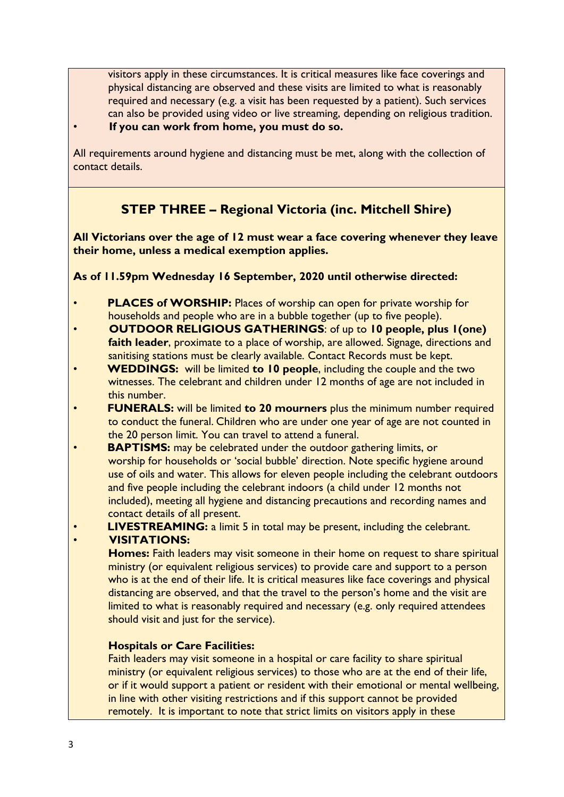visitors apply in these circumstances. It is critical measures like face coverings and physical distancing are observed and these visits are limited to what is reasonably required and necessary (e.g. a visit has been requested by a patient). Such services can also be provided using video or live streaming, depending on religious tradition. • **If you can work from home, you must do so.**

All requirements around hygiene and distancing must be met, along with the collection of contact details.

# **STEP THREE – Regional Victoria (inc. Mitchell Shire)**

**All Victorians over the age of 12 must wear a face covering whenever they leave their home, unless a medical exemption applies.**

**As of 11.59pm Wednesday 16 September, 2020 until otherwise directed:**

- **PLACES of WORSHIP:** Places of worship can open for private worship for households and people who are in a bubble together (up to five people).
- **OUTDOOR RELIGIOUS GATHERINGS**: of up to **10 people, plus 1(one) faith leader**, proximate to a place of worship, are allowed. Signage, directions and sanitising stations must be clearly available. Contact Records must be kept.
- **WEDDINGS:** will be limited **to 10 people**, including the couple and the two witnesses. The celebrant and children under 12 months of age are not included in this number.
- **FUNERALS:** will be limited **to 20 mourners** plus the minimum number required to conduct the funeral. Children who are under one year of age are not counted in the 20 person limit. You can travel to attend a funeral.
- **BAPTISMS:** may be celebrated under the outdoor gathering limits, or worship for households or 'social bubble' direction. Note specific hygiene around use of oils and water. This allows for eleven people including the celebrant outdoors and five people including the celebrant indoors (a child under 12 months not included), meeting all hygiene and distancing precautions and recording names and contact details of all present.
- **LIVESTREAMING:** a limit 5 in total may be present, including the celebrant.

#### • **VISITATIONS:**

 **Homes:** Faith leaders may visit someone in their home on request to share spiritual ministry (or equivalent religious services) to provide care and support to a person who is at the end of their life. It is critical measures like face coverings and physical distancing are observed, and that the travel to the person's home and the visit are limited to what is reasonably required and necessary (e.g. only required attendees should visit and just for the service).

# **Hospitals or Care Facilities:**

 Faith leaders may visit someone in a hospital or care facility to share spiritual ministry (or equivalent religious services) to those who are at the end of their life, or if it would support a patient or resident with their emotional or mental wellbeing, in line with other visiting restrictions and if this support cannot be provided remotely. It is important to note that strict limits on visitors apply in these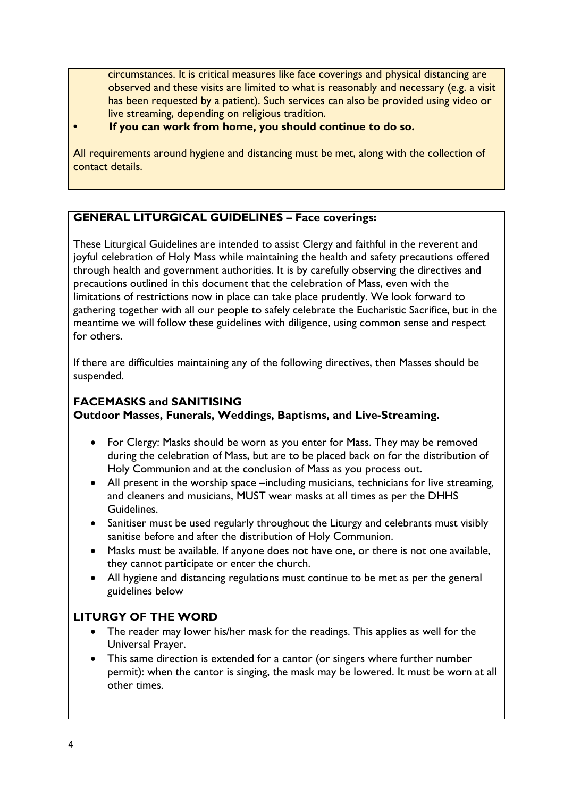circumstances. It is critical measures like face coverings and physical distancing are observed and these visits are limited to what is reasonably and necessary (e.g. a visit has been requested by a patient). Such services can also be provided using video or live streaming, depending on religious tradition.

#### **• If you can work from home, you should continue to do so.**

All requirements around hygiene and distancing must be met, along with the collection of contact details.

# **GENERAL LITURGICAL GUIDELINES – Face coverings:**

These Liturgical Guidelines are intended to assist Clergy and faithful in the reverent and joyful celebration of Holy Mass while maintaining the health and safety precautions offered through health and government authorities. It is by carefully observing the directives and precautions outlined in this document that the celebration of Mass, even with the limitations of restrictions now in place can take place prudently. We look forward to gathering together with all our people to safely celebrate the Eucharistic Sacrifice, but in the meantime we will follow these guidelines with diligence, using common sense and respect for others.

If there are difficulties maintaining any of the following directives, then Masses should be suspended.

## **FACEMASKS and SANITISING**

#### **Outdoor Masses, Funerals, Weddings, Baptisms, and Live-Streaming.**

- For Clergy: Masks should be worn as you enter for Mass. They may be removed during the celebration of Mass, but are to be placed back on for the distribution of Holy Communion and at the conclusion of Mass as you process out.
- All present in the worship space –including musicians, technicians for live streaming, and cleaners and musicians, MUST wear masks at all times as per the DHHS Guidelines.
- Sanitiser must be used regularly throughout the Liturgy and celebrants must visibly sanitise before and after the distribution of Holy Communion.
- Masks must be available. If anyone does not have one, or there is not one available, they cannot participate or enter the church.
- All hygiene and distancing regulations must continue to be met as per the general guidelines below

# **LITURGY OF THE WORD**

- The reader may lower his/her mask for the readings. This applies as well for the Universal Prayer.
- This same direction is extended for a cantor (or singers where further number permit): when the cantor is singing, the mask may be lowered. It must be worn at all other times.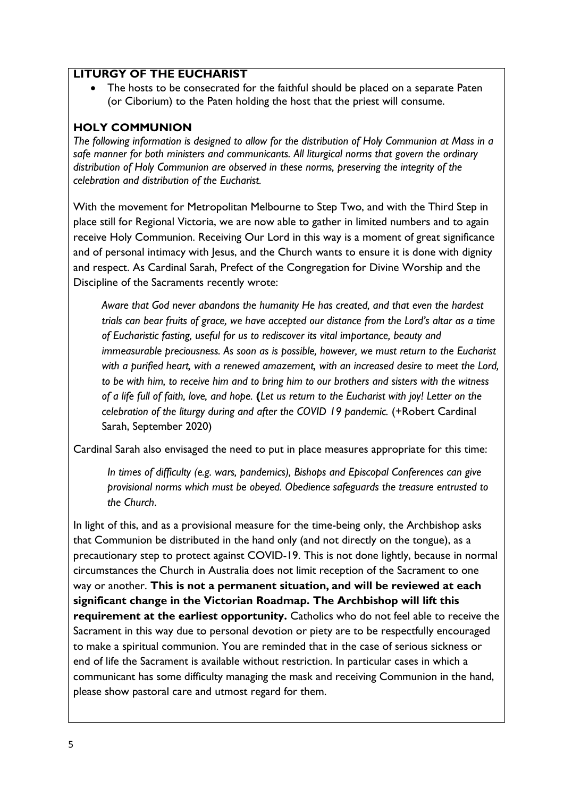## **LITURGY OF THE EUCHARIST**

• The hosts to be consecrated for the faithful should be placed on a separate Paten (or Ciborium) to the Paten holding the host that the priest will consume.

# **HOLY COMMUNION**

*The following information is designed to allow for the distribution of Holy Communion at Mass in a safe manner for both ministers and communicants. All liturgical norms that govern the ordinary distribution of Holy Communion are observed in these norms, preserving the integrity of the celebration and distribution of the Eucharist.*

With the movement for Metropolitan Melbourne to Step Two, and with the Third Step in place still for Regional Victoria, we are now able to gather in limited numbers and to again receive Holy Communion. Receiving Our Lord in this way is a moment of great significance and of personal intimacy with Jesus, and the Church wants to ensure it is done with dignity and respect. As Cardinal Sarah, Prefect of the Congregation for Divine Worship and the Discipline of the Sacraments recently wrote:

 *Aware that God never abandons the humanity He has created, and that even the hardest trials can bear fruits of grace, we have accepted our distance from the Lord's altar as a time of Eucharistic fasting, useful for us to rediscover its vital importance, beauty and immeasurable preciousness. As soon as is possible, however, we must return to the Eucharist with a purified heart, with a renewed amazement, with an increased desire to meet the Lord, to be with him, to receive him and to bring him to our brothers and sisters with the witness of a life full of faith, love, and hope.* **(***Let us return to the Eucharist with joy! Letter on the celebration of the liturgy during and after the COVID 19 pandemic.* (+Robert Cardinal Sarah, September 2020)

Cardinal Sarah also envisaged the need to put in place measures appropriate for this time:

*In times of difficulty (e.g. wars, pandemics), Bishops and Episcopal Conferences can give provisional norms which must be obeyed. Obedience safeguards the treasure entrusted to the Church*.

In light of this, and as a provisional measure for the time-being only, the Archbishop asks that Communion be distributed in the hand only (and not directly on the tongue), as a precautionary step to protect against COVID-19. This is not done lightly, because in normal circumstances the Church in Australia does not limit reception of the Sacrament to one way or another. **This is not a permanent situation, and will be reviewed at each significant change in the Victorian Roadmap. The Archbishop will lift this requirement at the earliest opportunity.** Catholics who do not feel able to receive the Sacrament in this way due to personal devotion or piety are to be respectfully encouraged to make a spiritual communion. You are reminded that in the case of serious sickness or end of life the Sacrament is available without restriction. In particular cases in which a communicant has some difficulty managing the mask and receiving Communion in the hand, please show pastoral care and utmost regard for them.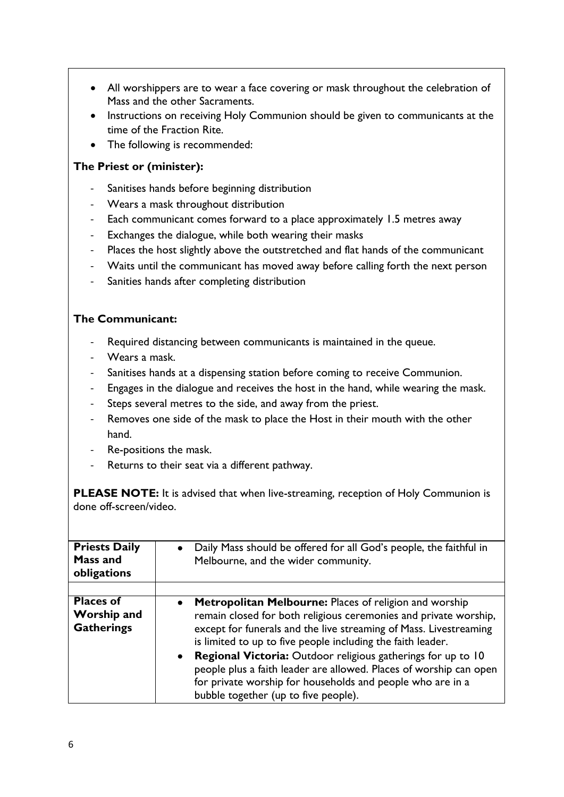- All worshippers are to wear a face covering or mask throughout the celebration of Mass and the other Sacraments.
- Instructions on receiving Holy Communion should be given to communicants at the time of the Fraction Rite.
- The following is recommended:

## **The Priest or (minister):**

- Sanitises hands before beginning distribution
- Wears a mask throughout distribution
- Each communicant comes forward to a place approximately 1.5 metres away
- Exchanges the dialogue, while both wearing their masks
- Places the host slightly above the outstretched and flat hands of the communicant
- Waits until the communicant has moved away before calling forth the next person
- Sanities hands after completing distribution

## **The Communicant:**

- Required distancing between communicants is maintained in the queue.
- Wears a mask.
- Sanitises hands at a dispensing station before coming to receive Communion.
- Engages in the dialogue and receives the host in the hand, while wearing the mask.
- Steps several metres to the side, and away from the priest.
- Removes one side of the mask to place the Host in their mouth with the other hand.
- Re-positions the mask.
- Returns to their seat via a different pathway.

**PLEASE NOTE:** It is advised that when live-streaming, reception of Holy Communion is done off-screen/video.

| <b>Priests Daily</b><br><b>Mass and</b><br>obligations      | • Daily Mass should be offered for all God's people, the faithful in<br>Melbourne, and the wider community.                                                                                                                                                                                                                                                                                                                                                                                                         |
|-------------------------------------------------------------|---------------------------------------------------------------------------------------------------------------------------------------------------------------------------------------------------------------------------------------------------------------------------------------------------------------------------------------------------------------------------------------------------------------------------------------------------------------------------------------------------------------------|
|                                                             |                                                                                                                                                                                                                                                                                                                                                                                                                                                                                                                     |
| <b>Places of</b><br><b>Worship and</b><br><b>Gatherings</b> | <b>Metropolitan Melbourne: Places of religion and worship</b><br>remain closed for both religious ceremonies and private worship,<br>except for funerals and the live streaming of Mass. Livestreaming<br>is limited to up to five people including the faith leader.<br>• Regional Victoria: Outdoor religious gatherings for up to 10<br>people plus a faith leader are allowed. Places of worship can open<br>for private worship for households and people who are in a<br>bubble together (up to five people). |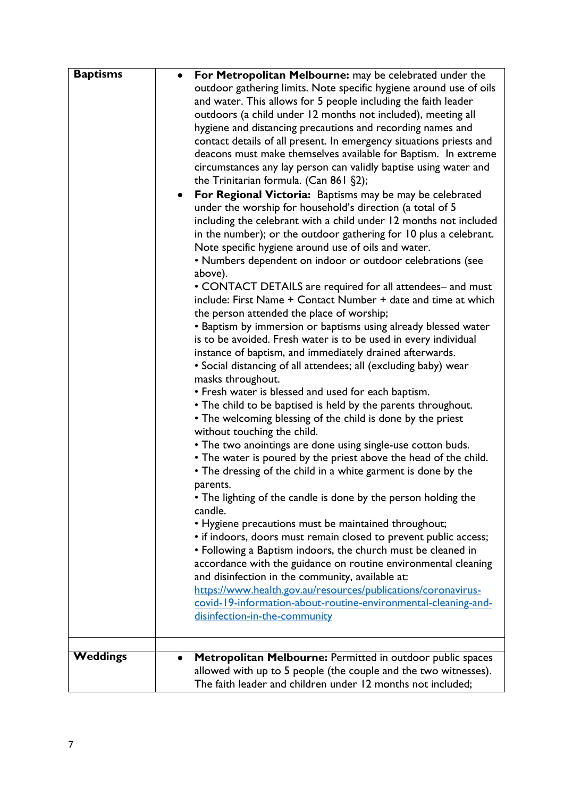| <b>Baptisms</b> | For Metropolitan Melbourne: may be celebrated under the               |
|-----------------|-----------------------------------------------------------------------|
|                 | outdoor gathering limits. Note specific hygiene around use of oils    |
|                 | and water. This allows for 5 people including the faith leader        |
|                 | outdoors (a child under 12 months not included), meeting all          |
|                 | hygiene and distancing precautions and recording names and            |
|                 | contact details of all present. In emergency situations priests and   |
|                 | deacons must make themselves available for Baptism. In extreme        |
|                 | circumstances any lay person can validly baptise using water and      |
|                 | the Trinitarian formula. (Can 861 §2);                                |
|                 | For Regional Victoria: Baptisms may be may be celebrated<br>$\bullet$ |
|                 | under the worship for household's direction (a total of 5             |
|                 | including the celebrant with a child under 12 months not included     |
|                 | in the number); or the outdoor gathering for 10 plus a celebrant.     |
|                 | Note specific hygiene around use of oils and water.                   |
|                 | • Numbers dependent on indoor or outdoor celebrations (see            |
|                 | above).                                                               |
|                 | • CONTACT DETAILS are required for all attendees- and must            |
|                 | include: First Name + Contact Number + date and time at which         |
|                 | the person attended the place of worship;                             |
|                 | • Baptism by immersion or baptisms using already blessed water        |
|                 | is to be avoided. Fresh water is to be used in every individual       |
|                 | instance of baptism, and immediately drained afterwards.              |
|                 | • Social distancing of all attendees; all (excluding baby) wear       |
|                 | masks throughout.                                                     |
|                 | • Fresh water is blessed and used for each baptism.                   |
|                 | • The child to be baptised is held by the parents throughout.         |
|                 | • The welcoming blessing of the child is done by the priest           |
|                 | without touching the child.                                           |
|                 | • The two anointings are done using single-use cotton buds.           |
|                 | • The water is poured by the priest above the head of the child.      |
|                 | • The dressing of the child in a white garment is done by the         |
|                 | parents.                                                              |
|                 | • The lighting of the candle is done by the person holding the        |
|                 | candle.                                                               |
|                 | • Hygiene precautions must be maintained throughout;                  |
|                 | • if indoors, doors must remain closed to prevent public access;      |
|                 | • Following a Baptism indoors, the church must be cleaned in          |
|                 | accordance with the guidance on routine environmental cleaning        |
|                 | and disinfection in the community, available at:                      |
|                 | https://www.health.gov.au/resources/publications/coronavirus-         |
|                 | covid-19-information-about-routine-environmental-cleaning-and-        |
|                 | disinfection-in-the-community                                         |
|                 |                                                                       |
| <b>Weddings</b> | Metropolitan Melbourne: Permitted in outdoor public spaces            |
|                 | allowed with up to 5 people (the couple and the two witnesses).       |
|                 | The faith leader and children under 12 months not included;           |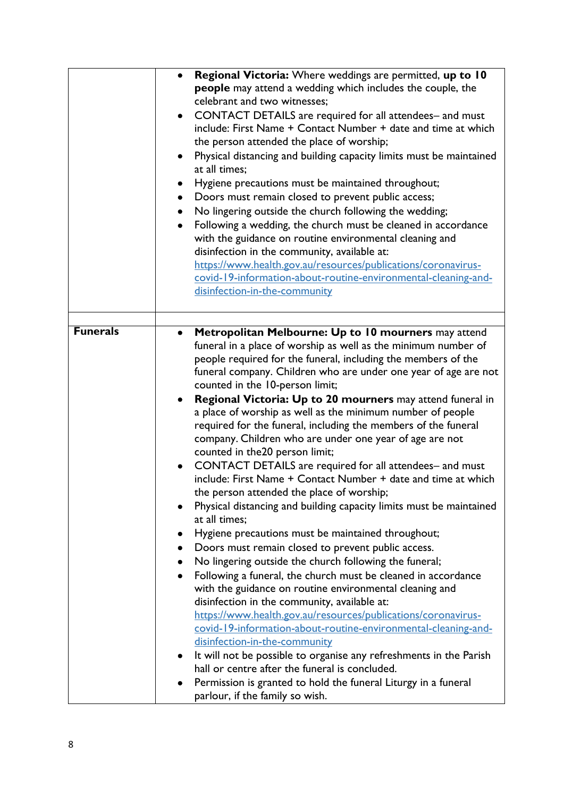|                 | Regional Victoria: Where weddings are permitted, up to 10<br>people may attend a wedding which includes the couple, the<br>celebrant and two witnesses:<br>CONTACT DETAILS are required for all attendees- and must<br>include: First Name + Contact Number + date and time at which<br>the person attended the place of worship;<br>Physical distancing and building capacity limits must be maintained<br>٠<br>at all times;<br>Hygiene precautions must be maintained throughout;<br>Doors must remain closed to prevent public access;<br>$\bullet$<br>No lingering outside the church following the wedding;<br>Following a wedding, the church must be cleaned in accordance<br>$\bullet$<br>with the guidance on routine environmental cleaning and<br>disinfection in the community, available at:<br>https://www.health.gov.au/resources/publications/coronavirus-<br>covid-19-information-about-routine-environmental-cleaning-and-<br>disinfection-in-the-community                                                                                                                                                                                                                                                                                                                                                                                                                           |
|-----------------|----------------------------------------------------------------------------------------------------------------------------------------------------------------------------------------------------------------------------------------------------------------------------------------------------------------------------------------------------------------------------------------------------------------------------------------------------------------------------------------------------------------------------------------------------------------------------------------------------------------------------------------------------------------------------------------------------------------------------------------------------------------------------------------------------------------------------------------------------------------------------------------------------------------------------------------------------------------------------------------------------------------------------------------------------------------------------------------------------------------------------------------------------------------------------------------------------------------------------------------------------------------------------------------------------------------------------------------------------------------------------------------------------------|
|                 |                                                                                                                                                                                                                                                                                                                                                                                                                                                                                                                                                                                                                                                                                                                                                                                                                                                                                                                                                                                                                                                                                                                                                                                                                                                                                                                                                                                                          |
| <b>Funerals</b> | Metropolitan Melbourne: Up to 10 mourners may attend<br>$\bullet$<br>funeral in a place of worship as well as the minimum number of<br>people required for the funeral, including the members of the<br>funeral company. Children who are under one year of age are not<br>counted in the 10-person limit;<br>Regional Victoria: Up to 20 mourners may attend funeral in<br>a place of worship as well as the minimum number of people<br>required for the funeral, including the members of the funeral<br>company. Children who are under one year of age are not<br>counted in the 20 person limit;<br>CONTACT DETAILS are required for all attendees- and must<br>include: First Name + Contact Number + date and time at which<br>the person attended the place of worship;<br>Physical distancing and building capacity limits must be maintained<br>at all times;<br>Hygiene precautions must be maintained throughout;<br>Doors must remain closed to prevent public access.<br>٠<br>No lingering outside the church following the funeral;<br>Following a funeral, the church must be cleaned in accordance<br>٠<br>with the guidance on routine environmental cleaning and<br>disinfection in the community, available at:<br>https://www.health.gov.au/resources/publications/coronavirus-<br>covid-19-information-about-routine-environmental-cleaning-and-<br>disinfection-in-the-community |
|                 | It will not be possible to organise any refreshments in the Parish<br>hall or centre after the funeral is concluded.<br>Permission is granted to hold the funeral Liturgy in a funeral                                                                                                                                                                                                                                                                                                                                                                                                                                                                                                                                                                                                                                                                                                                                                                                                                                                                                                                                                                                                                                                                                                                                                                                                                   |
|                 | parlour, if the family so wish.                                                                                                                                                                                                                                                                                                                                                                                                                                                                                                                                                                                                                                                                                                                                                                                                                                                                                                                                                                                                                                                                                                                                                                                                                                                                                                                                                                          |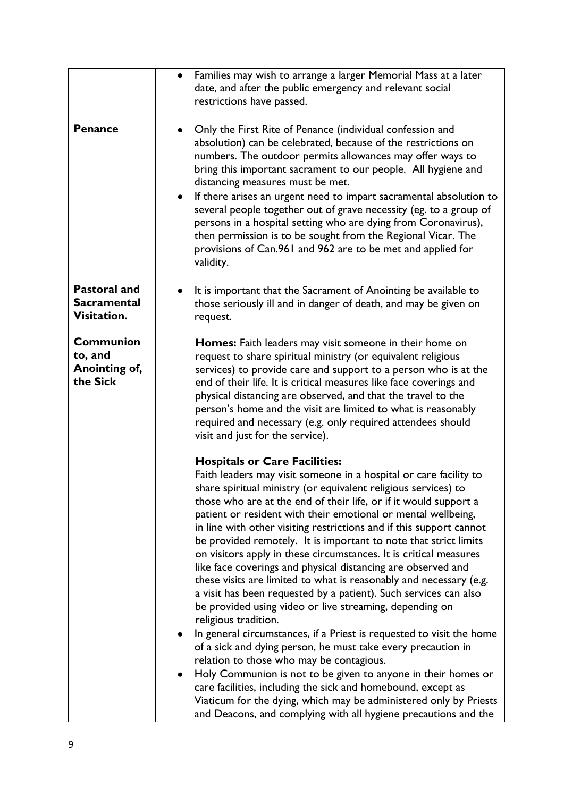|                                                          | Families may wish to arrange a larger Memorial Mass at a later<br>date, and after the public emergency and relevant social                                                                                                                                                                                                                                                                                                                                                                                                                                                                                                                                                                                                                                                                                                                                                                                                                                                                                                                                                                                                                                                                                                                                                                 |
|----------------------------------------------------------|--------------------------------------------------------------------------------------------------------------------------------------------------------------------------------------------------------------------------------------------------------------------------------------------------------------------------------------------------------------------------------------------------------------------------------------------------------------------------------------------------------------------------------------------------------------------------------------------------------------------------------------------------------------------------------------------------------------------------------------------------------------------------------------------------------------------------------------------------------------------------------------------------------------------------------------------------------------------------------------------------------------------------------------------------------------------------------------------------------------------------------------------------------------------------------------------------------------------------------------------------------------------------------------------|
|                                                          | restrictions have passed.                                                                                                                                                                                                                                                                                                                                                                                                                                                                                                                                                                                                                                                                                                                                                                                                                                                                                                                                                                                                                                                                                                                                                                                                                                                                  |
| <b>Penance</b>                                           | Only the First Rite of Penance (individual confession and<br>absolution) can be celebrated, because of the restrictions on<br>numbers. The outdoor permits allowances may offer ways to<br>bring this important sacrament to our people. All hygiene and<br>distancing measures must be met.<br>If there arises an urgent need to impart sacramental absolution to<br>several people together out of grave necessity (eg. to a group of<br>persons in a hospital setting who are dying from Coronavirus),<br>then permission is to be sought from the Regional Vicar. The<br>provisions of Can.961 and 962 are to be met and applied for<br>validity.                                                                                                                                                                                                                                                                                                                                                                                                                                                                                                                                                                                                                                      |
| <b>Pastoral and</b><br><b>Sacramental</b><br>Visitation. | It is important that the Sacrament of Anointing be available to<br>those seriously ill and in danger of death, and may be given on<br>request.                                                                                                                                                                                                                                                                                                                                                                                                                                                                                                                                                                                                                                                                                                                                                                                                                                                                                                                                                                                                                                                                                                                                             |
| <b>Communion</b><br>to, and<br>Anointing of,<br>the Sick | <b>Homes:</b> Faith leaders may visit someone in their home on<br>request to share spiritual ministry (or equivalent religious<br>services) to provide care and support to a person who is at the<br>end of their life. It is critical measures like face coverings and<br>physical distancing are observed, and that the travel to the<br>person's home and the visit are limited to what is reasonably<br>required and necessary (e.g. only required attendees should<br>visit and just for the service).                                                                                                                                                                                                                                                                                                                                                                                                                                                                                                                                                                                                                                                                                                                                                                                |
|                                                          | <b>Hospitals or Care Facilities:</b><br>Faith leaders may visit someone in a hospital or care facility to<br>share spiritual ministry (or equivalent religious services) to<br>those who are at the end of their life, or if it would support a<br>patient or resident with their emotional or mental wellbeing,<br>in line with other visiting restrictions and if this support cannot<br>be provided remotely. It is important to note that strict limits<br>on visitors apply in these circumstances. It is critical measures<br>like face coverings and physical distancing are observed and<br>these visits are limited to what is reasonably and necessary (e.g.<br>a visit has been requested by a patient). Such services can also<br>be provided using video or live streaming, depending on<br>religious tradition.<br>In general circumstances, if a Priest is requested to visit the home<br>of a sick and dying person, he must take every precaution in<br>relation to those who may be contagious.<br>Holy Communion is not to be given to anyone in their homes or<br>care facilities, including the sick and homebound, except as<br>Viaticum for the dying, which may be administered only by Priests<br>and Deacons, and complying with all hygiene precautions and the |